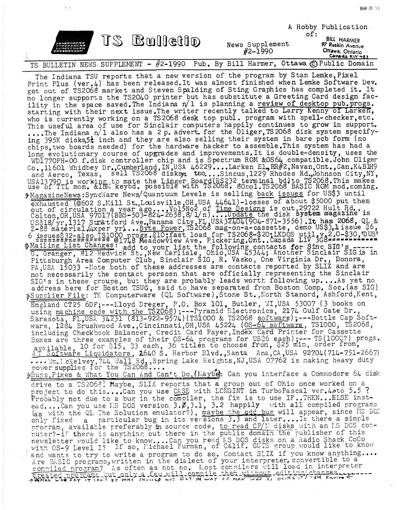|                                                                                                                                                                                                                                                                                                                                                                                                                                                                                                                                                                                                                                                                                                                                                                                                                                                                                                                                                                                                                                                                                                                                                                                                                                                                                                                                                                                                                                                                                                                                                                                                                                                                                                                                                                                                                                                                                                                                                                                                                                                                                                                                                                                                                                                                                                                                                                                                                                                                                                                                                                                                                                                                                                                                                                                                                                                                                                                                                                                                                                                                                                                                                                                                                                                                                                                                                                                                                                                                                                                                                                                                                                                                                                                                                                                                                                                                                                                                                                                                                                                                                                                                                                                                                                                                                                                                                                                                                                                                                                                                                                                                                                                                                                                                                                                                  |             |                                | of: | A Hobby Publication                                                                 |
|--------------------------------------------------------------------------------------------------------------------------------------------------------------------------------------------------------------------------------------------------------------------------------------------------------------------------------------------------------------------------------------------------------------------------------------------------------------------------------------------------------------------------------------------------------------------------------------------------------------------------------------------------------------------------------------------------------------------------------------------------------------------------------------------------------------------------------------------------------------------------------------------------------------------------------------------------------------------------------------------------------------------------------------------------------------------------------------------------------------------------------------------------------------------------------------------------------------------------------------------------------------------------------------------------------------------------------------------------------------------------------------------------------------------------------------------------------------------------------------------------------------------------------------------------------------------------------------------------------------------------------------------------------------------------------------------------------------------------------------------------------------------------------------------------------------------------------------------------------------------------------------------------------------------------------------------------------------------------------------------------------------------------------------------------------------------------------------------------------------------------------------------------------------------------------------------------------------------------------------------------------------------------------------------------------------------------------------------------------------------------------------------------------------------------------------------------------------------------------------------------------------------------------------------------------------------------------------------------------------------------------------------------------------------------------------------------------------------------------------------------------------------------------------------------------------------------------------------------------------------------------------------------------------------------------------------------------------------------------------------------------------------------------------------------------------------------------------------------------------------------------------------------------------------------------------------------------------------------------------------------------------------------------------------------------------------------------------------------------------------------------------------------------------------------------------------------------------------------------------------------------------------------------------------------------------------------------------------------------------------------------------------------------------------------------------------------------------------------------------------------------------------------------------------------------------------------------------------------------------------------------------------------------------------------------------------------------------------------------------------------------------------------------------------------------------------------------------------------------------------------------------------------------------------------------------------------------------------------------------------------------------------------------------------------------------------------------------------------------------------------------------------------------------------------------------------------------------------------------------------------------------------------------------------------------------------------------------------------------------------------------------------------------------------------------------------------------------------------------------------------------------------------------------------------|-------------|--------------------------------|-----|-------------------------------------------------------------------------------------|
|                                                                                                                                                                                                                                                                                                                                                                                                                                                                                                                                                                                                                                                                                                                                                                                                                                                                                                                                                                                                                                                                                                                                                                                                                                                                                                                                                                                                                                                                                                                                                                                                                                                                                                                                                                                                                                                                                                                                                                                                                                                                                                                                                                                                                                                                                                                                                                                                                                                                                                                                                                                                                                                                                                                                                                                                                                                                                                                                                                                                                                                                                                                                                                                                                                                                                                                                                                                                                                                                                                                                                                                                                                                                                                                                                                                                                                                                                                                                                                                                                                                                                                                                                                                                                                                                                                                                                                                                                                                                                                                                                                                                                                                                                                                                                                                                  | TS Bulletto | News Supplement<br>$#2 - 1990$ |     | <b>BILL HARMER</b><br>97 Ruskin Avenue<br>Ottawa, Ontario<br><u>Canada Kiy 483 </u> |
|                                                                                                                                                                                                                                                                                                                                                                                                                                                                                                                                                                                                                                                                                                                                                                                                                                                                                                                                                                                                                                                                                                                                                                                                                                                                                                                                                                                                                                                                                                                                                                                                                                                                                                                                                                                                                                                                                                                                                                                                                                                                                                                                                                                                                                                                                                                                                                                                                                                                                                                                                                                                                                                                                                                                                                                                                                                                                                                                                                                                                                                                                                                                                                                                                                                                                                                                                                                                                                                                                                                                                                                                                                                                                                                                                                                                                                                                                                                                                                                                                                                                                                                                                                                                                                                                                                                                                                                                                                                                                                                                                                                                                                                                                                                                                                                                  |             |                                |     |                                                                                     |
| TS BULLETIN NEWS SUPPLEMENT - #2-1990 Pub. By Bill Harmer, Ottawa © Public Domain<br>The Indiana TSU reports that a new version of the program by Stan Lemke, Pixel<br>Print Plus (ver.4) has been released. It was almost finished when Lemke Software Dev.<br>got out of TS2068 market and Steven Spalding of Sting Graphics has completed it. It<br>no longer supports the TS2040 printer but has substitute a Greeting Card design fac-<br>ility in the space saved. The Indiana n/1 is planning a review of desktop pub. progs.<br>starting with their next issue. The writer recently talked to Larry Kenny of Larken,<br>who is currently working on a TS2068 desk top publ. program with spell-checker, etc.<br>This useful area of use for Sinclair computers happily continues to grow in support.<br>The Indiana n/l also has a 2 p. advert. for the Oliger, TS 2068 disk system specify-<br>ing 395K disks, 5 <sup>1</sup> inch and they are also selling their system in bare pcb form (no<br>chips, two boards needed) for the hardware hacker to assemble. This system has had a<br>long evolutionary course of upgrades and improvements. It is double-density, uses the<br>WDI770PH-00 f.disk controller chip and is Spectrum ROM &OS64 compatible.John Oliger<br>Co., 11601 Whidbey Dr., Cumberland, IN, USA 46229Larken El, RR#2, Navan, Ont., Can. K4BIH9<br>and Aerco, Texas, sell TS2068 disksys tooSincus, 1229 Rhodes Rd., Johnson City, NY,<br>USA13790 is working to mate the Linger Board(RS232 terminal bd) to TS2068. This makes<br>use of TTL mon. & IBM keybd. possible with TS2068. 80col. TS2068 BASIC ROM mod.coming.<br>>MagazineNews:SyncMare News/Quantuum Levels is selling back issues for US\$3 until<br>exhausted (@602 S.Mill St., Louisville, OH, USA 44641)-losses of about \$5000 put them<br>out of circulation a year ago Vol5No2 of Time Designs is out, 29722 Hult Rd.,<br>Colton, OR, USA 97017(BBS-503-824-2658, 8/1/n)Updat<br>US\$18/yr,1317 Stratford Ave., Panama City, FL, USA 32404 (904-871-3556). It has 2068, QL &<br>Z-88 material. 4xper yr Byte Power, TS2068 mag-on-a-cassette, demo US\$3, lissue \$6,<br>6 issues\$32-also fsi000 progs.\$10; fast load for TS2068-\$20; LKDOS util. v.2.0-\$30, DUS'<br>Mailing List Changes: add to your list the following contacts for Sinc SIG's------<br>G. Granger, 812 Hedwick St., New Carlisle, Ohio, USA 45344; Another Sinclair SIG is in<br>Pittsburgh Area Computer Club, Sinclair SIG, R. Vasko, One Virginia Dr., Donora,<br>PA USA 15033 -Note both of these addresses are contacts reported by SLIX and are<br>not necessarily the contact persosn that are officially representing the Sinclair<br>SIG's in these groups, but they are probably leads worth following upAs yet no<br>address here for Boston TSUG, said to have separated from Boston Comp. Soc. (as SIG)<br>>Suprlier File: TK Computerware (QL Software), Stone St., North Stanord, Ashford, Kent,<br>England CT25 6DF;---Lloyd Dreger, P.O. Box 101, Butler, WI, USA 53007 (3 books on using machine code with the TS2068);---Pyramid Electronics, 2174 Gulf Gate Dr.,<br>Sarasota, FL, USA 34231 (813-922-9574) (TS1000 & TS2068 software);---Bottle Cap Soft-<br>ware, 1284 Brushwood Ave., Cincinnati, OH, USA 45224 (OS-64 software, TS1000, TS2068,<br>including Checkbook Balancer, Credit Card Payer, Index Card Printer for Cassette<br>Boxes are three examples of their 0S-64 programs for US36 each);--- TS(1000?) progs.<br>available, 10 for \$15, \$3 each, 36 titles to choose from, \$25 min, order from,<br>AT Software Liquidators, 2640 S. Harbor Blvd., Santa Ana, CA, USA 92704 (714-751-2667)<br>Im. LcKelvey, 744 Wall Rd, Spring Lake Heights, NJ, USA 07762 is making heavy duty<br>power supplies for the TS2068<br>>Bugs, Fixes & What You Can And Can't Do, (Maybe): Can you interface a Commodore 64 disk<br>drive to a TS2068? Maybe, SLIX reports that a group out of Ohio once worked on a<br>project to do thisCan you use CASE with LCNGINT in TurboPascal ver.4.0to 5.5 ?<br>Probably not due to a bug in the compiler, the fix is to use IF THEN ELSE inst-<br>eadCan you use MS DOS version $3.0, 3.1, 3.2$ happily with all compiled programs<br>(as with the QL The Solution emulator?), maybe the odd bug will appear, since MS DCE<br>only fixed a particular bug in its versions 3.3 and later Is there a simple<br>program, available preferably in source code, to read CP/E disks with an ES DOS com-<br>puter?-if there is anything out there in the public domain the publisher of this<br>newsletter would like to knowCan you read MS DOS disks on a Radio Shack CoCo with OS-9 Level I? If so, Michael Furman, of Calif. GUTS group would like to know |             |                                |     |                                                                                     |
| and wants to try to write a program to do so. Contact SLIX if you know anything                                                                                                                                                                                                                                                                                                                                                                                                                                                                                                                                                                                                                                                                                                                                                                                                                                                                                                                                                                                                                                                                                                                                                                                                                                                                                                                                                                                                                                                                                                                                                                                                                                                                                                                                                                                                                                                                                                                                                                                                                                                                                                                                                                                                                                                                                                                                                                                                                                                                                                                                                                                                                                                                                                                                                                                                                                                                                                                                                                                                                                                                                                                                                                                                                                                                                                                                                                                                                                                                                                                                                                                                                                                                                                                                                                                                                                                                                                                                                                                                                                                                                                                                                                                                                                                                                                                                                                                                                                                                                                                                                                                                                                                                                                                  |             |                                |     |                                                                                     |
| Are BASIC programs, written in the dialect of your interpreter, convertible to a<br>compiled program? As often as not no. Most compilers will load in interpreter<br>created programs but only a few will compile them without editing changes.                                                                                                                                                                                                                                                                                                                                                                                                                                                                                                                                                                                                                                                                                                                                                                                                                                                                                                                                                                                                                                                                                                                                                                                                                                                                                                                                                                                                                                                                                                                                                                                                                                                                                                                                                                                                                                                                                                                                                                                                                                                                                                                                                                                                                                                                                                                                                                                                                                                                                                                                                                                                                                                                                                                                                                                                                                                                                                                                                                                                                                                                                                                                                                                                                                                                                                                                                                                                                                                                                                                                                                                                                                                                                                                                                                                                                                                                                                                                                                                                                                                                                                                                                                                                                                                                                                                                                                                                                                                                                                                                                  |             |                                |     |                                                                                     |
|                                                                                                                                                                                                                                                                                                                                                                                                                                                                                                                                                                                                                                                                                                                                                                                                                                                                                                                                                                                                                                                                                                                                                                                                                                                                                                                                                                                                                                                                                                                                                                                                                                                                                                                                                                                                                                                                                                                                                                                                                                                                                                                                                                                                                                                                                                                                                                                                                                                                                                                                                                                                                                                                                                                                                                                                                                                                                                                                                                                                                                                                                                                                                                                                                                                                                                                                                                                                                                                                                                                                                                                                                                                                                                                                                                                                                                                                                                                                                                                                                                                                                                                                                                                                                                                                                                                                                                                                                                                                                                                                                                                                                                                                                                                                                                                                  |             |                                |     |                                                                                     |

 $\zeta$  .

**MAR 26 '93**